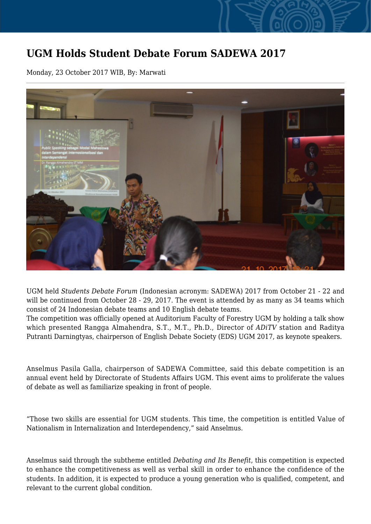## **UGM Holds Student Debate Forum SADEWA 2017**

Monday, 23 October 2017 WIB, By: Marwati



UGM held *Students Debate Forum* (Indonesian acronym: SADEWA) 2017 from October 21 - 22 and will be continued from October 28 - 29, 2017. The event is attended by as many as 34 teams which consist of 24 Indonesian debate teams and 10 English debate teams.

The competition was officially opened at Auditorium Faculty of Forestry UGM by holding a talk show which presented Rangga Almahendra, S.T., M.T., Ph.D., Director of *ADiTV* station and Raditya Putranti Darningtyas, chairperson of English Debate Society (EDS) UGM 2017, as keynote speakers.

Anselmus Pasila Galla, chairperson of SADEWA Committee, said this debate competition is an annual event held by Directorate of Students Affairs UGM. This event aims to proliferate the values of debate as well as familiarize speaking in front of people.

"Those two skills are essential for UGM students. This time, the competition is entitled Value of Nationalism in Internalization and Interdependency," said Anselmus.

Anselmus said through the subtheme entitled *Debating and Its Benefit*, this competition is expected to enhance the competitiveness as well as verbal skill in order to enhance the confidence of the students. In addition, it is expected to produce a young generation who is qualified, competent, and relevant to the current global condition.